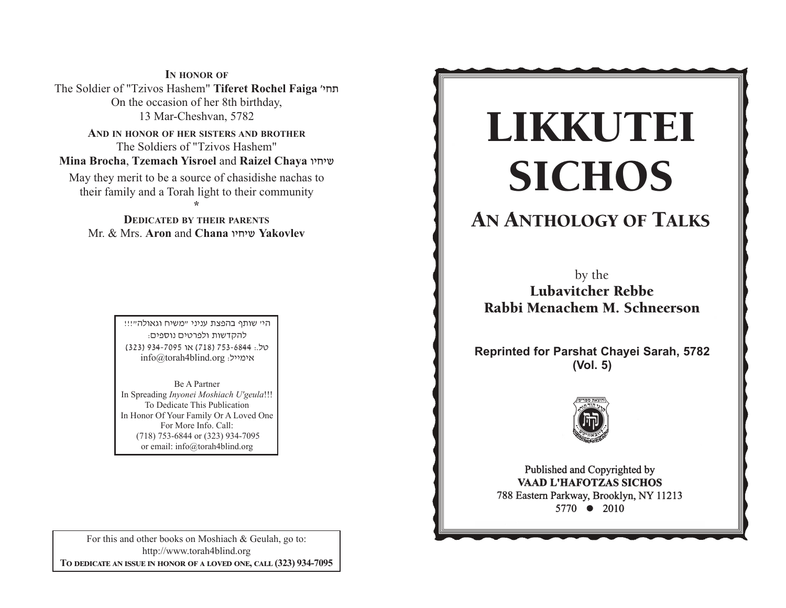**IN HONOR OF** The Soldier of "Tzivos Hashem" **Tiferet Rochel Faiga** whj, On the occasion of her 8th birthday, 13 Mar-Cheshvan, 5782

**AND IN HONOR OF HER SISTERS AND BROTHER** The Soldiers of "Tzivos Hashem" **Mina Brocha**, **Tzemach Yisroel** and **Raizel Chaya** uhjha

May they merit to be a source of chasidishe nachas to their family and a Torah light to their community **\*** 

**DEDICATED BY THEIR PARENTS** Mr. & Mrs. **Aron** and **Chana** uhjha **Yakovlev**

> היי שותף בהפצת עניני "משיח וגאולה"!!! להקדשות ולפרטים נוספים: yk/: 4486-357 )817( tu 5907-439 )323(  $info@$ torah4blind.org אימייל:

Be A PartnerIn Spreading *Inyonei Moshiach U'geula*!!! To Dedicate This Publication In Honor Of Your Family Or A Loved One For More Info. Call: (718) 753-6844 or (323) 934-7095 or email: info@torah4blind.org

For this and other books on Moshiach & Geulah, go to: http://www.torah4blind.org  $\bf{To \textbf{ DEDICATE \textbf{AN} \textbf{ ISSUE} \textbf{ IN HONOR} \textbf{OF} \textbf{A} \textbf{ LOVED} \textbf{ONE}, \textbf{CALL} \textbf{(323) } 934\textbf{-7095}}$ 

# $\overline{\text{CICHOS}}$ -**SICHOS**<br>SICHOS<br>by the<br>Lubavitcher Rebbe<br>bi Menachem M. Schnee<br>ted for Parshat Chayei Sara<br>(Vol. 5)<br>Published and Copyrighted by<br>Pablished and Copyrighted by<br>Pablished and Copyrighted by<br>Pablished and Copyrighted by<br>Raster -LIKKUTEI SICHOS

#### ANIHOLOGY OF TA AN ANTHOLOGY OF TALKS

b b Lubavitcher Rebbe Rabbi Menachem M. Schneerson by the

**Reprinted for Parshat Chayei Sarah, 5782** (Vol. 5)<br> **EFTER THE TABLE** 



s eastern Parkway, Brooklyn, NY 112  $5770 \bullet 2010$  $\frac{31}{10}$   $\sqrt{2010}$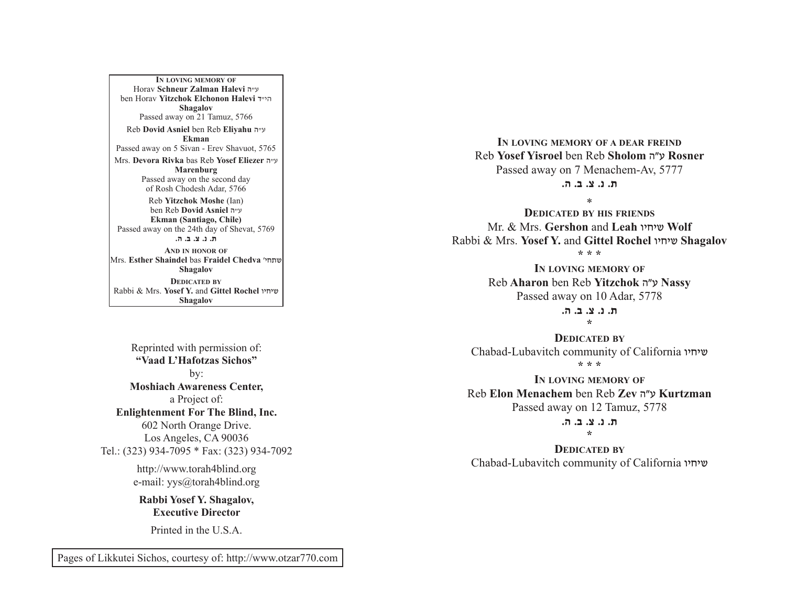A PARALLEL BETWEEN MANNA AND SHABBOS Mrs. **Devora Rivka** bas Reb **Yosef Eliezer** v"g **IN LOVING MEMORY OF**Horav **Schneur Zalman Halevi** v"g ben Horav **Yitzchok Elchonon Halevi** s"hv**Shagalov** Passed away on 21 Tamuz, 5766 Reb **Dovid Asniel** ben Reb **Eliyahu** <sup>v</sup>"g **Ekman**Passed away on 5 Sivan - Erev Shavuot, 5765 **Marenburg** Passed away on the second day of Rosh Chodesh Adar, 5766 Reb **Yitzchok Moshe** (Ian) ben Reb **Dovid Asniel** v"g **Ekman (Santiago, Chile)** Passed away on the 24th day of Shevat, 5769 **/v /c /m /b /, AND IN HONOR OF**Mrs. **Esther Shaindel** bas **Fraidel Chedva** whj,a**Shagalov DEDICATED BY**Rabbi & Mrs. **Yosef Y.** and **Gittel Rochel** uhjha**Shagalov**

Reprinted with permission of: **"Vaad L'Hafotzas Sichos"**by: **Moshiach Awareness Center,** a Project of: **Enlightenment For The Blind, Inc.** 602 North Orange Drive. Los Angeles, CA 90036 Tel.: (323) 934-7095 \* Fax: (323) 934-7092

> http://www.torah4blind.org e-mail: yys@torah4blind.org

**Rabbi Yosef Y. Shagalov, Executive Director**

Printed in the U.S.A.

**IN LOVING MEMORY OF A DEAR FREIND** Reb **Yosef Yisroel** ben Reb **Sholom** vWg **Rosner** Passed away on 7 Menachem-Av, 5777 **/v /c /m /b /,**

\*

 **DEDICATED BY HIS FRIENDS**Mr. & Mrs. **Gershon** and **Leah** uhjha **Wolf** Rabbi & Mrs. **Yosef Y.** and **Gittel Rochel** uhjha **Shagalov**

**\* \* \***

**IN LOVING MEMORY OF** Reb **Aharon** ben Reb **Yitzchok** vWg **Nassy** Passed away on 10 Adar, 5778

> **/v /c /m /b /,\***

**DEDICATED BY**Chabad-Lubavitch community of California שיחיו **\* \* \***

**IN LOVING MEMORY OF** Reb **Elon Menachem** ben Reb **Zev** vWg **Kurtzman** Passed away on 12 Tamuz, 5778

> **/v /c /m /b /,\***

**DEDICATED BY**Chabad-Lubavitch community of California שיחיו

Pages of Likkutei Sichos, courtesy of: http://www.otzar770.com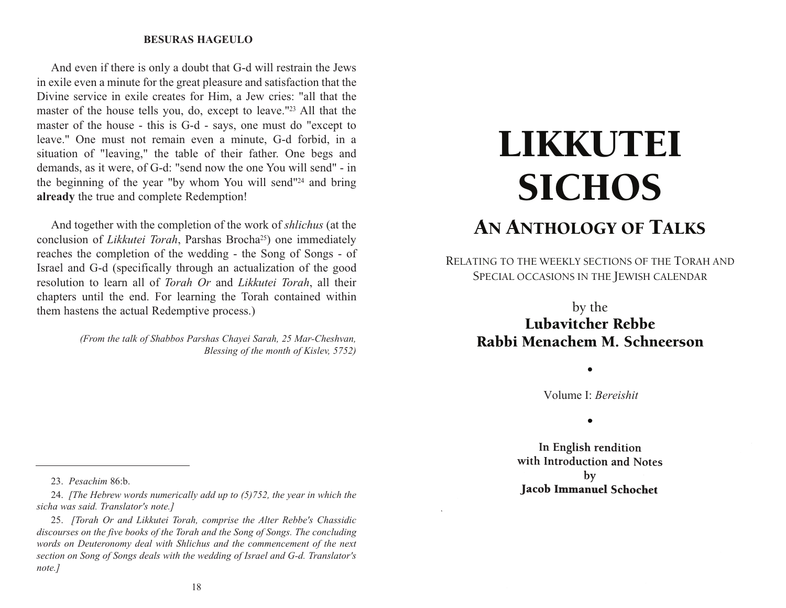#### **LIKKUTEI SICHOSBESURAS HAGEULO**

demands, as it were, of G-d: "send now the one You will send" - in And even if there is only a doubt that G-d will restrain the Jews in exile even a minute for the great pleasure and satisfaction that the Divine service in exile creates for Him, a Jew cries: "all that the master of the house tells you, do, except to leave."23 All that the master of the house - this is G-d - says, one must do "except to leave." One must not remain even a minute, G-d forbid, in a situation of "leaving," the table of their father. One begs and the beginning of the year "by whom You will send"24 and bring **already** the true and complete Redemption!

And together with the completion of the work of *shlichus* (at the conclusion of *Likkutei Torah*, Parshas Brocha<sup>25</sup>) one immediately reaches the completion of the wedding - the Song of Songs - of Israel and G-d (specifically through an actualization of the good resolution to learn all of *Torah Or* and *Likkutei Torah*, all their chapters until the end. For learning the Torah contained within them hastens the actual Redemptive process.)

> *(From the talk of Shabbos Parshas Chayei Sarah, 25 Mar-Cheshvan, Blessing of the month of Kislev, 5752)*

## LIKKUTEI **SICHOS** AN ANTHOLOGY OF TALKS

RELATING TO THE WEEKLY SECTIONS OF THE TORAH AND SPECIAL OCCASIONS IN THE JEWISH CALENDAR

#### by the Lubavitcher Rebbe Rabbi Menachem M. Schneerson

Volume I: *Bereishit*

•

 $\bullet$ In English rendition

with Introduction and Notes  $$ **Jacob Immanuel Schochet** 

24. *[The Hebrew words numerically add up to (5)752, the year in which the sicha was said. Translator's note.]*

25. *[Torah Or and Likkutei Torah, comprise the Alter Rebbe's Chassidic discourses on the five books of the Torah and the Song of Songs. The concluding words on Deuteronomy deal with Shlichus and the commencement of the next section on Song of Songs deals with the wedding of Israel and G-d. Translator's note.]*

18

<sup>23.</sup> *Pesachim* 86:b.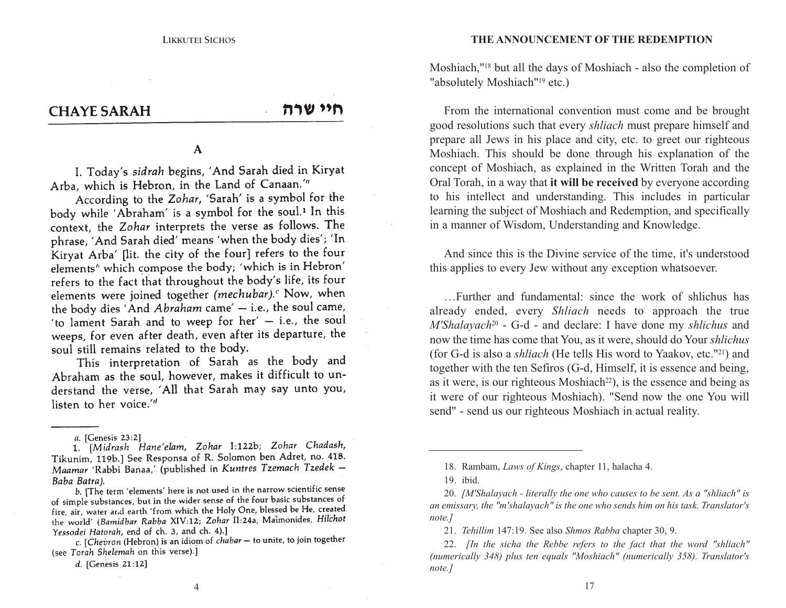#### **CHAYE SARAH**

חיי שרה

#### $\mathbf A$

I. Today's sidrah begins, 'And Sarah died in Kiryat Arba, which is Hebron, in the Land of Canaan.'a

According to the Zohar, 'Sarah' is a symbol for the body while 'Abraham' is a symbol for the soul.<sup>1</sup> In this context, the Zohar interprets the verse as follows. The phrase, 'And Sarah died' means 'when the body dies'; 'In Kiryat Arba' [lit. the city of the four] refers to the four elements' which compose the body; 'which is in Hebron' refers to the fact that throughout the body's life, its four elements were joined together (mechubar).<sup>c</sup> Now, when the body dies 'And Abraham came' - i.e., the soul came, 'to lament Sarah and to weep for her' - i.e., the soul weeps, for even after death, even after its departure, the soul still remains related to the body.

This interpretation of Sarah as the body and Abraham as the soul, however, makes it difficult to understand the verse, 'All that Sarah may say unto you, listen to her voice.'d

1. [Midrash Hane'elam, Zohar I:122b; Zohar Chadash, Tikunim, 119b.] See Responsa of R. Solomon ben Adret, no. 418. Maamar 'Rabbi Banaa,' (published in Kuntres Tzemach Tzedek – Baba Batra).

b. [The term 'elements' here is not used in the narrow scientific sense of simple substances, but in the wider sense of the four basic substances of fire, air, water and earth 'from which the Holy One, blessed be He, created the world' (Bamidbar Rabba XIV:12; Zohar II:24a, Maimonides, Hilchot Yessodei Hatorah, end of ch. 3, and ch. 4).]

c. [Chevron (Hebron) is an idiom of chabar – to unite, to join together (see Torah Shelemah on this verse).]

d. [Genesis 21:12]

Moshiach,"18 but all the days of Moshiach - also the completion of "absolutely Moshiach"<sup>19</sup> etc.)

good resolutions such that every *shliach* must prepare himself and From the international convention must come and be brought prepare all Jews in his place and city, etc. to greet our righteous Moshiach. This should be done through his explanation of the concept of Moshiach, as explained in the Written Torah and the Oral Torah, in a way that **it will be received** by everyone according to his intellect and understanding. This includes in particular learning the subject of Moshiach and Redemption, and specifically in a manner of Wisdom, Understanding and Knowledge.

And since this is the Divine service of the time, it's understood this applies to every Jew without any exception whatsoever.

…Further and fundamental: since the work of shlichus has already ended, every *Shliach* needs to approach the true *M'Shalayach*<sup>20</sup> - G-d - and declare: I have done my *shlichus* and now the time has come that You, as it were, should do Your *shlichus* (for G-d is also a *shliach* (He tells His word to Yaakov, etc."21) and together with the ten Sefiros (G-d, Himself, it is essence and being, as it were, is our righteous Moshiach<sup>22</sup>), is the essence and being as it were of our righteous Moshiach). "Send now the one You will send" - send us our righteous Moshiach in actual reality.

4

a. [Genesis 23:2]

<sup>18.</sup> Rambam, *Laws of Kings*, chapter 11, halacha 4.

<sup>19.</sup> ibid.

<sup>20.</sup> *[M'Shalayach - literally the one who causes to be sent. As a "shliach" is an emissary, the "m'shalayach" is the one who sends him on his task. Translator's note.]*

<sup>21.</sup> *Tehillim* 147:19. See also *Shmos Rabba* chapter 30, 9.

<sup>22.</sup> *[In the sicha the Rebbe refers to the fact that the word "shliach" (numerically 348) plus ten equals "Moshiach" (numerically 358). Translator's note.]*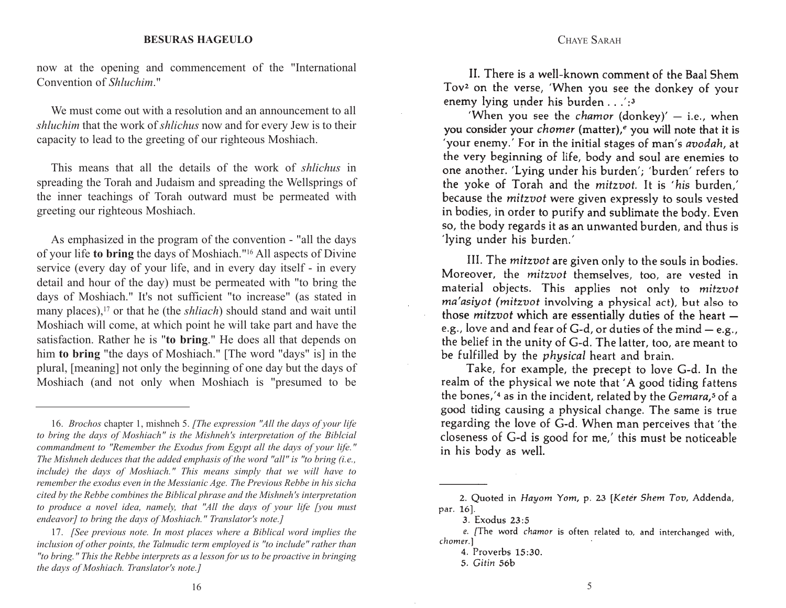now at the opening and commencement of the "International Convention of *Shluchim*."

We must come out with a resolution and an announcement to all *shluchim* that the work of *shlichus* now and for every Jew is to their capacity to lead to the greeting of our righteous Moshiach.

This means that all the details of the work of *shlichus* in spreading the Torah and Judaism and spreading the Wellsprings of the inner teachings of Torah outward must be permeated with greeting our righteous Moshiach.

As emphasized in the program of the convention - "all the days of your life **to bring** the days of Moshiach."16 All aspects of Divine service (every day of your life, and in every day itself - in every detail and hour of the day) must be permeated with "to bring the days of Moshiach." It's not sufficient "to increase" (as stated in many places),<sup>17</sup> or that he (the *shliach*) should stand and wait until Moshiach will come, at which point he will take part and have the satisfaction. Rather he is "**to bring**." He does all that depends on him **to bring** "the days of Moshiach." [The word "days" is] in the plural, [meaning] not only the beginning of one day but the days of Moshiach (and not only when Moshiach is "presumed to be

II. There is a well-known comment of the Baal Shem Tov<sup>2</sup> on the verse, 'When you see the donkey of your enemy lying under his burden  $\ldots$ :

CHAYE SARAH

'When you see the *chamor* (donkey)' - i.e., when you consider your *chomer* (matter),<sup>e</sup> you will note that it is 'your enemy.' For in the initial stages of man's *avodah*, at the very beginning of life, body and soul are enemies to one another. 'Lying under his burden': 'burden' refers to the yoke of Torah and the mitzvot. It is 'his burden.' because the mitzvot were given expressly to souls vested in bodies, in order to purify and sublimate the body. Even so, the body regards it as an unwanted burden, and thus is 'lying under his burden.'

III. The mitzvot are given only to the souls in bodies. Moreover, the mitzvot themselves, too, are vested in material objects. This applies not only to mitzvot ma'asiyot (mitzvot involving a physical act), but also to those mitzvot which are essentially duties of the heart e.g., love and and fear of  $G-d$ , or duties of the mind  $-e.g.,$ the belief in the unity of G-d. The latter, too, are meant to be fulfilled by the *physical* heart and brain.

Take, for example, the precept to love G-d. In the realm of the physical we note that 'A good tiding fattens the bones,'4 as in the incident, related by the Gemara,<sup>5</sup> of a good tiding causing a physical change. The same is true regarding the love of G-d. When man perceives that 'the closeness of G-d is good for me,' this must be noticeable in his body as well.

4. Proverbs 15:30.

<sup>16.</sup> *Brochos* chapter 1, mishneh 5. *[The expression "All the days of your life to bring the days of Moshiach" is the Mishneh's interpretation of the Biblcial commandment to "Remember the Exodus from Egypt all the days of your life." The Mishneh deduces that the added emphasis of the word "all" is "to bring (i.e., include) the days of Moshiach." This means simply that we will have to remember the exodus even in the Messianic Age. The Previous Rebbe in his sicha cited by the Rebbe combines the Biblical phrase and the Mishneh's interpretation to produce a novel idea, namely, that "All the days of your life [you must endeavor] to bring the days of Moshiach." Translator's note.]*

<sup>17.</sup> *[See previous note. In most places where a Biblical word implies the inclusion of other points, the Talmudic term employed is "to include" rather than "to bring." This the Rebbe interprets as a lesson for us to be proactive in bringing the days of Moshiach. Translator's note.]*

<sup>2.</sup> Quoted in Hayom Yom, p. 23 [Keter Shem Tov, Addenda, par. 16].

<sup>3.</sup> Exodus 23:5

e. [The word chamor is often related to, and interchanged with, chomer.1

<sup>5.</sup> Gitin 56b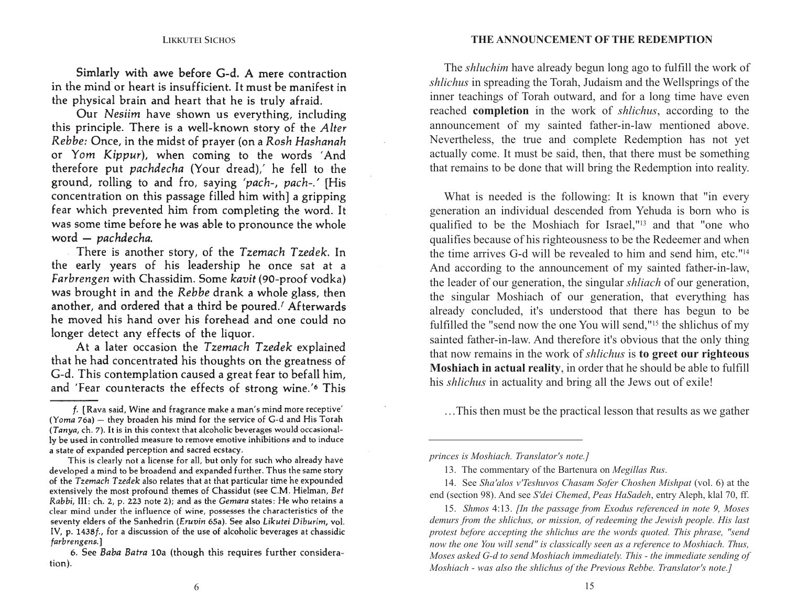Simlarly with awe before G-d. A mere contraction in the mind or heart is insufficient. It must be manifest in the physical brain and heart that he is truly afraid.

Our Nesiim have shown us everything, including this principle. There is a well-known story of the Alter Rebbe: Once, in the midst of prayer (on a Rosh Hashanah or Yom Kippur), when coming to the words 'And therefore put pachdecha (Your dread),' he fell to the ground, rolling to and fro, saving 'pach-, pach-.' [His concentration on this passage filled him with] a gripping fear which prevented him from completing the word. It was some time before he was able to pronounce the whole word - pachdecha.

There is another story, of the Tzemach Tzedek. In the early years of his leadership he once sat at a Farbrengen with Chassidim. Some kavit (90-proof vodka) was brought in and the Rebbe drank a whole glass, then another, and ordered that a third be poured.<sup>*f*</sup> Afterwards he moved his hand over his forehead and one could no longer detect any effects of the liquor.

At a later occasion the Tzemach Tzedek explained that he had concentrated his thoughts on the greatness of G-d. This contemplation caused a great fear to befall him, and 'Fear counteracts the effects of strong wine.'6 This

announcement of my sainted father-in-law mentioned above. The *shluchim* have already begun long ago to fulfill the work of *shlichus* in spreading the Torah, Judaism and the Wellsprings of the inner teachings of Torah outward, and for a long time have even reached **completion** in the work of *shlichus*, according to the Nevertheless, the true and complete Redemption has not yet actually come. It must be said, then, that there must be something that remains to be done that will bring the Redemption into reality.

What is needed is the following: It is known that "in every generation an individual descended from Yehuda is born who is qualified to be the Moshiach for Israel,"13 and that "one who qualifies because of his righteousness to be the Redeemer and when the time arrives G-d will be revealed to him and send him, etc."14 And according to the announcement of my sainted father-in-law, the leader of our generation, the singular *shliach* of our generation, the singular Moshiach of our generation, that everything has already concluded, it's understood that there has begun to be fulfilled the "send now the one You will send,"15 the shlichus of my sainted father-in-law. And therefore it's obvious that the only thing that now remains in the work of *shlichus* is **to greet our righteous Moshiach in actual reality**, in order that he should be able to fulfill his *shlichus* in actuality and bring all the Jews out of exile!

…This then must be the practical lesson that results as we gather

f. [Rava said, Wine and fragrance make a man's mind more receptive' (Yoma 76a) - they broaden his mind for the service of G-d and His Torah (Tanya, ch. 7). It is in this context that alcoholic beverages would occasionally be used in controlled measure to remove emotive inhibitions and to induce a state of expanded perception and sacred ecstacy.

This is clearly not a license for all, but only for such who already have developed a mind to be broadend and expanded further. Thus the same story of the *Tzemach Tzedek* also relates that at that particular time he expounded extensively the most profound themes of Chassidut (see C.M. Hielman, Bet Rabbi, III: ch. 2, p. 223 note 2); and as the Gemara states: He who retains a clear mind under the influence of wine, possesses the characteristics of the seventy elders of the Sanhedrin (Eruvin 65a). See also Likutei Diburim, vol. IV, p. 1438f., for a discussion of the use of alcoholic beverages at chassidic farbrengens.]

<sup>6.</sup> See Baba Batra 10a (though this requires further consideration).

*princes is Moshiach. Translator's note.]*

<sup>13.</sup> The commentary of the Bartenura on *Megillas Rus*.

<sup>14.</sup> See *Sha'alos v'Teshuvos Chasam Sofer Choshen Mishpat* (vol. 6) at the end (section 98). And see *S'dei Chemed*, *Peas HaSadeh*, entry Aleph, klal 70, ff.

<sup>15.</sup> *Shmos* 4:13. *[In the passage from Exodus referenced in note 9, Moses demurs from the shlichus, or mission, of redeeming the Jewish people. His last protest before accepting the shlichus are the words quoted. This phrase, "send now the one You will send" is classically seen as a reference to Moshiach. Thus, Moses asked G-d to send Moshiach immediately. This - the immediate sending of Moshiach - was also the shlichus of the Previous Rebbe. Translator's note.]*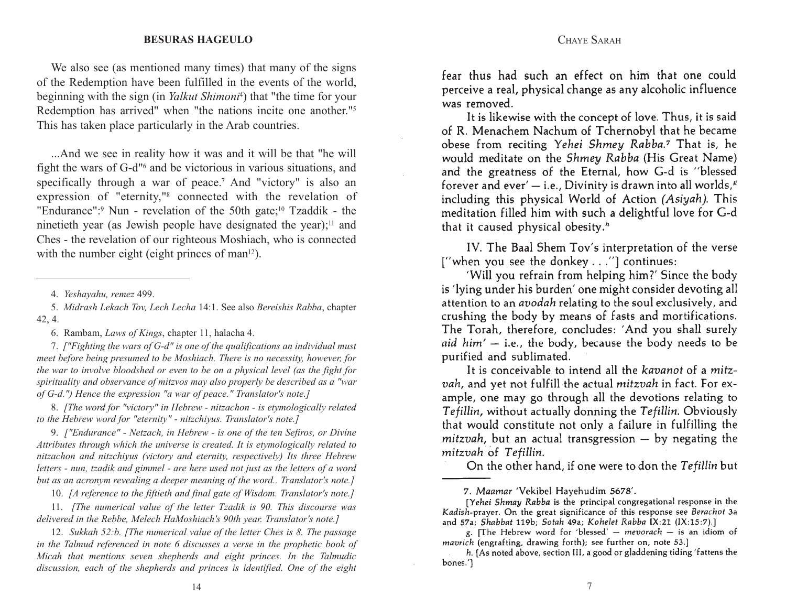#### CHAYE SARAH

#### **LIKKUTEI SICHOSBESURAS HAGEULO**

We also see (as mentioned many times) that many of the signs of the Redemption have been fulfilled in the events of the world, beginning with the sign (in *Yalkut Shimoni*4) that "the time for your Redemption has arrived" when "the nations incite one another."5 This has taken place particularly in the Arab countries.

fight the wars of G-d<sup>n</sup><sup>6</sup> and be victorious in various situations, and ...And we see in reality how it was and it will be that "he will specifically through a war of peace.<sup>7</sup> And "victory" is also an expression of "eternity,"8 connected with the revelation of "Endurance":<sup>9</sup> Nun - revelation of the 50th gate;<sup>10</sup> Tzaddik - the ninetieth year (as Jewish people have designated the year); $\frac{11}{11}$  and Ches - the revelation of our righteous Moshiach, who is connected with the number eight (eight princes of man $12$ ).

6. Rambam, *Laws of Kings*, chapter 11, halacha 4.

7. *["Fighting the wars of G-d" is one of the qualifications an individual must meet before being presumed to be Moshiach. There is no necessity, however, for the war to involve bloodshed or even to be on a physical level (as the fight for spirituality and observance of mitzvos may also properly be described as a "war of G-d.") Hence the expression "a war of peace." Translator's note.]*

8. *[The word for "victory" in Hebrew - nitzachon - is etymologically related to the Hebrew word for "eternity" - nitzchiyus. Translator's note.]*

9. *["Endurance" - Netzach, in Hebrew - is one of the ten Sefiros, or Divine Attributes through which the universe is created. It is etymologically related to nitzachon and nitzchiyus (victory and eternity, respectively) Its three Hebrew letters - nun, tzadik and gimmel - are here used not just as the letters of a word but as an acronym revealing a deeper meaning of the word.. Translator's note.]*

10. *[A reference to the fiftieth and final gate of Wisdom. Translator's note.]*

11. *[The numerical value of the letter Tzadik is 90. This discourse was delivered in the Rebbe, Melech HaMoshiach's 90th year. Translator's note.]*

12. *Sukkah 52:b. [The numerical value of the letter Ches is 8. The passage in the Talmud referenced in note 6 discusses a verse in the prophetic book of Micah that mentions seven shepherds and eight princes. In the Talmudic discussion, each of the shepherds and princes is identified. One of the eight*

fear thus had such an effect on him that one could perceive a real, physical change as any alcoholic influence was removed.

It is likewise with the concept of love. Thus, it is said of R. Menachem Nachum of Tchernobyl that he became obese from reciting Yehei Shmey Rabba.<sup>7</sup> That is, he would meditate on the Shmey Rabba (His Great Name) and the greatness of the Eternal, how G-d is "blessed forever and ever'  $-$  i.e., Divinity is drawn into all worlds, $\ell$ including this physical World of Action (Asiyah). This meditation filled him with such a delightful love for G-d that it caused physical obesity.<sup>h</sup>

IV. The Baal Shem Tov's interpretation of the verse ["when you see the donkey . . ."] continues:

'Will you refrain from helping him?' Since the body is 'lying under his burden' one might consider devoting all attention to an *avodah* relating to the soul exclusively, and crushing the body by means of fasts and mortifications. The Torah, therefore, concludes: 'And you shall surely aid  $him' - i.e.,$  the body, because the body needs to be purified and sublimated.

It is conceivable to intend all the kavanot of a mitzvah, and yet not fulfill the actual mitzvah in fact. For example, one may go through all the devotions relating to Tefillin, without actually donning the Tefillin. Obviously that would constitute not only a failure in fulfilling the  $mitzvah$ , but an actual transgression  $-$  by negating the mitzvah of Tefillin.

On the other hand, if one were to don the Tefillin but

7. Maamar 'Vekibel Hayehudim 5678'.

<sup>4.</sup> *Yeshayahu, remez* 499.

<sup>5.</sup> *Midrash Lekach Tov, Lech Lecha* 14:1. See also *Bereishis Rabba*, chapter 42, 4.

<sup>[</sup>Yehei Shmay Rabba is the principal congregational response in the Kadish-prayer. On the great significance of this response see Berachot 3a and 57a; Shabbat 119b; Sotah 49a; Kohelet Rabba IX:21 (IX:15:7).]

g. [The Hebrew word for 'blessed'  $-$  mevorach  $-$  is an idiom of mavrich (engrafting, drawing forth); see further on, note 53.]

h. [As noted above, section III, a good or gladdening tiding 'fattens the bones.']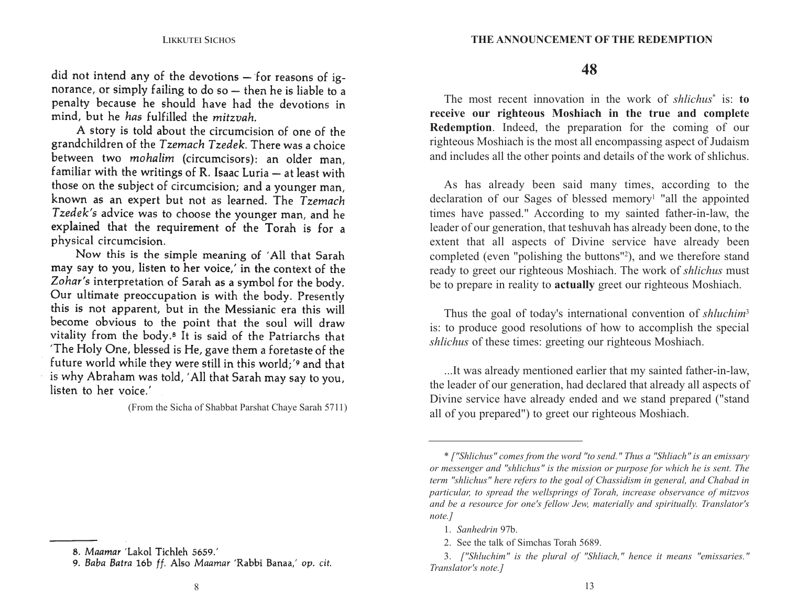did not intend any of the devotions  $-$  for reasons of ignorance, or simply failing to do so - then he is liable to a penalty because he should have had the devotions in mind, but he has fulfilled the mitzvah.

A story is told about the circumcision of one of the grandchildren of the Tzemach Tzedek. There was a choice between two mohalim (circumcisors): an older man. familiar with the writings of R. Isaac Luria - at least with those on the subject of circumcision; and a younger man, known as an expert but not as learned. The Tzemach Tzedek's advice was to choose the younger man, and he explained that the requirement of the Torah is for a physical circumcision.

Now this is the simple meaning of 'All that Sarah may say to you, listen to her voice,' in the context of the Zohar's interpretation of Sarah as a symbol for the body. Our ultimate preoccupation is with the body. Presently this is not apparent, but in the Messianic era this will become obvious to the point that the soul will draw vitality from the body.<sup>8</sup> It is said of the Patriarchs that 'The Holy One, blessed is He, gave them a foretaste of the future world while they were still in this world;' and that is why Abraham was told, 'All that Sarah may say to you, listen to her voice.'

(From the Sicha of Shabbat Parshat Chaye Sarah 5711)

#### **48**

**Redemption**. Indeed, the preparation for the coming of our The most recent innovation in the work of *shlichus*\* is: **toreceive our righteous Moshiach in the true and complete** righteous Moshiach is the most all encompassing aspect of Judaism and includes all the other points and details of the work of shlichus.

As has already been said many times, according to the declaration of our Sages of blessed memory<sup>1</sup> "all the appointed times have passed." According to my sainted father-in-law, the leader of our generation, that teshuvah has already been done, to the extent that all aspects of Divine service have already been completed (even "polishing the buttons"2), and we therefore stand ready to greet our righteous Moshiach. The work of *shlichus* must be to prepare in reality to **actually** greet our righteous Moshiach.

Thus the goal of today's international convention of *shluchim*<sup>3</sup> is: to produce good resolutions of how to accomplish the special *shlichus* of these times: greeting our righteous Moshiach.

...It was already mentioned earlier that my sainted father-in-law, the leader of our generation, had declared that already all aspects of Divine service have already ended and we stand prepared ("stand all of you prepared") to greet our righteous Moshiach.

<sup>8.</sup> Maamar 'Lakol Tichleh 5659.'

<sup>9.</sup> Baba Batra 16b ff. Also Maamar 'Rabbi Banaa,' op. cit.

<sup>\*</sup> *["Shlichus" comes from the word "to send." Thus a "Shliach" is an emissary or messenger and "shlichus" is the mission or purpose for which he is sent. The term "shlichus" here refers to the goal of Chassidism in general, and Chabad in particular, to spread the wellsprings of Torah, increase observance of mitzvos and be a resource for one's fellow Jew, materially and spiritually. Translator's note.]*

<sup>1.</sup> *Sanhedrin* 97b.

<sup>2.</sup> See the talk of Simchas Torah 5689.

<sup>3.</sup> *["Shluchim" is the plural of "Shliach," hence it means "emissaries." Translator's note.]*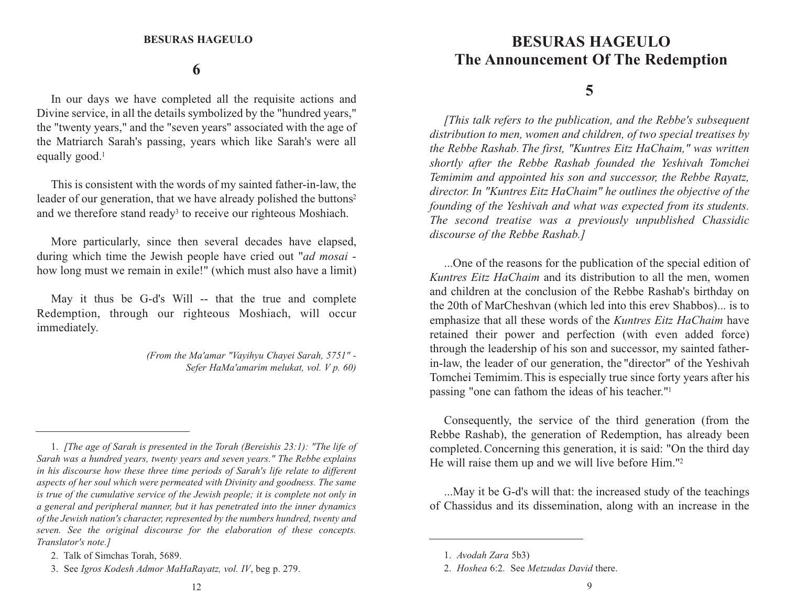#### **6**

equally good.<sup>1</sup> In our days we have completed all the requisite actions and Divine service, in all the details symbolized by the "hundred years," the "twenty years," and the "seven years" associated with the age of the Matriarch Sarah's passing, years which like Sarah's were all

This is consistent with the words of my sainted father-in-law, the leader of our generation, that we have already polished the buttons<sup>2</sup> and we therefore stand ready<sup>3</sup> to receive our righteous Moshiach.

More particularly, since then several decades have elapsed, during which time the Jewish people have cried out "*ad mosai*  how long must we remain in exile!" (which must also have a limit)

May it thus be G-d's Will -- that the true and complete Redemption, through our righteous Moshiach, will occur immediately.

> *(From the Ma'amar "Vayihyu Chayei Sarah, 5751" - Sefer HaMa'amarim melukat, vol. V p. 60)*

### **BESURAS HAGEULO The Announcement Of The Redemption**

#### **5**

[This talk refers to the publication, and the Rebbe's subsequent *distribution to men, women and children, of two special treatises by the Rebbe Rashab. The first, "Kuntres Eitz HaChaim," was written shortly after the Rebbe Rashab founded the Yeshivah Tomchei Temimim and appointed his son and successor, the Rebbe Rayatz, director. In "Kuntres Eitz HaChaim" he outlines the objective of the founding of the Yeshivah and what was expected from its students. The second treatise was a previously unpublished Chassidic discourse of the Rebbe Rashab.]*

...One of the reasons for the publication of the special edition of *Kuntres Eitz HaChaim* and its distribution to all the men, women and children at the conclusion of the Rebbe Rashab's birthday on the 20th of MarCheshvan (which led into this erev Shabbos)... is to emphasize that all these words of the *Kuntres Eitz HaChaim* have retained their power and perfection (with even added force) through the leadership of his son and successor, my sainted fatherin-law, the leader of our generation, the "director" of the Yeshivah Tomchei Temimim.This is especially true since forty years after his passing "one can fathom the ideas of his teacher."1

Consequently, the service of the third generation (from the Rebbe Rashab), the generation of Redemption, has already been completed. Concerning this generation, it is said: "On the third day He will raise them up and we will live before Him."2

...May it be G-d's will that: the increased study of the teachings of Chassidus and its dissemination, along with an increase in the

<sup>1.</sup> *[The age of Sarah is presented in the Torah (Bereishis 23:1): "The life of Sarah was a hundred years, twenty years and seven years." The Rebbe explains in his discourse how these three time periods of Sarah's life relate to different aspects of her soul which were permeated with Divinity and goodness. The same is true of the cumulative service of the Jewish people; it is complete not only in a general and peripheral manner, but it has penetrated into the inner dynamics of the Jewish nation's character, represented by the numbers hundred, twenty and seven. See the original discourse for the elaboration of these concepts. Translator's note.]*

<sup>2.</sup> Talk of Simchas Torah, 5689.

<sup>3.</sup> See *Igros Kodesh Admor MaHaRayatz, vol. IV*, beg p. 279.

<sup>1.</sup> *Avodah Zara* 5b3)

<sup>2.</sup> *Hoshea* 6:2. See *Metzudas David* there.